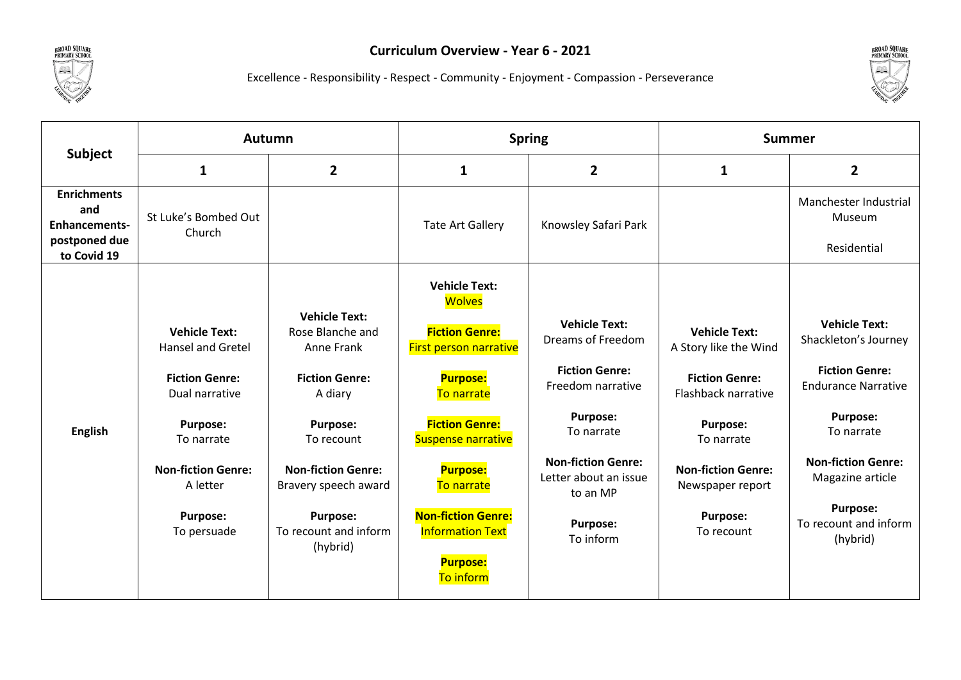



Excellence - Responsibility - Respect - Community - Enjoyment - Compassion - Perseverance

|                                                   | <b>Autumn</b>                                                                                                                                                  |                                                                                                                                                                                  | <b>Spring</b>                                                                                                                                                                                                           |                                                                                                                                                                                | <b>Summer</b>                                                                                                                                                                   |                                                                                                                                                                                       |
|---------------------------------------------------|----------------------------------------------------------------------------------------------------------------------------------------------------------------|----------------------------------------------------------------------------------------------------------------------------------------------------------------------------------|-------------------------------------------------------------------------------------------------------------------------------------------------------------------------------------------------------------------------|--------------------------------------------------------------------------------------------------------------------------------------------------------------------------------|---------------------------------------------------------------------------------------------------------------------------------------------------------------------------------|---------------------------------------------------------------------------------------------------------------------------------------------------------------------------------------|
| <b>Subject</b>                                    | 1                                                                                                                                                              | $\overline{2}$                                                                                                                                                                   | 1                                                                                                                                                                                                                       | $\overline{2}$                                                                                                                                                                 | $\mathbf{1}$                                                                                                                                                                    | $\overline{2}$                                                                                                                                                                        |
| <b>Enrichments</b><br>and<br><b>Enhancements-</b> | St Luke's Bombed Out<br>Church                                                                                                                                 |                                                                                                                                                                                  | <b>Tate Art Gallery</b>                                                                                                                                                                                                 | Knowsley Safari Park                                                                                                                                                           |                                                                                                                                                                                 | Manchester Industrial<br>Museum                                                                                                                                                       |
| postponed due<br>to Covid 19                      |                                                                                                                                                                |                                                                                                                                                                                  |                                                                                                                                                                                                                         |                                                                                                                                                                                |                                                                                                                                                                                 | Residential                                                                                                                                                                           |
| <b>English</b>                                    | <b>Vehicle Text:</b><br><b>Hansel and Gretel</b><br><b>Fiction Genre:</b><br>Dual narrative<br>Purpose:<br>To narrate<br><b>Non-fiction Genre:</b><br>A letter | <b>Vehicle Text:</b><br>Rose Blanche and<br>Anne Frank<br><b>Fiction Genre:</b><br>A diary<br><b>Purpose:</b><br>To recount<br><b>Non-fiction Genre:</b><br>Bravery speech award | <b>Vehicle Text:</b><br><b>Wolves</b><br><b>Fiction Genre:</b><br><b>First person narrative</b><br><b>Purpose:</b><br>To narrate<br><b>Fiction Genre:</b><br><b>Suspense narrative</b><br><b>Purpose:</b><br>To narrate | <b>Vehicle Text:</b><br>Dreams of Freedom<br><b>Fiction Genre:</b><br>Freedom narrative<br><b>Purpose:</b><br>To narrate<br><b>Non-fiction Genre:</b><br>Letter about an issue | <b>Vehicle Text:</b><br>A Story like the Wind<br><b>Fiction Genre:</b><br>Flashback narrative<br><b>Purpose:</b><br>To narrate<br><b>Non-fiction Genre:</b><br>Newspaper report | <b>Vehicle Text:</b><br>Shackleton's Journey<br><b>Fiction Genre:</b><br><b>Endurance Narrative</b><br><b>Purpose:</b><br>To narrate<br><b>Non-fiction Genre:</b><br>Magazine article |
|                                                   | <b>Purpose:</b><br>To persuade                                                                                                                                 | <b>Purpose:</b><br>To recount and inform<br>(hybrid)                                                                                                                             | <b>Non-fiction Genre:</b><br><b>Information Text</b><br><b>Purpose:</b><br>To inform                                                                                                                                    | to an MP<br><b>Purpose:</b><br>To inform                                                                                                                                       | <b>Purpose:</b><br>To recount                                                                                                                                                   | <b>Purpose:</b><br>To recount and inform<br>(hybrid)                                                                                                                                  |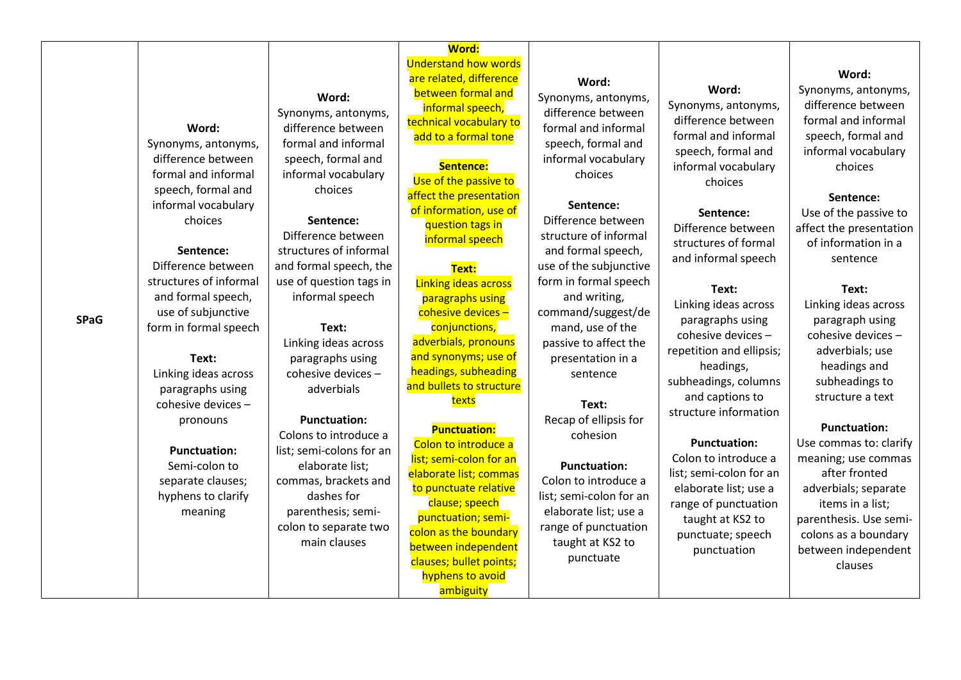| <b>SPaG</b> | Word:<br>Synonyms, antonyms,<br>difference between<br>formal and informal<br>speech, formal and<br>informal vocabulary<br>choices<br>Sentence:<br>Difference between<br>structures of informal<br>and formal speech,<br>use of subjunctive<br>form in formal speech<br>Text:<br>Linking ideas across<br>paragraphs using<br>cohesive devices -<br>pronouns<br><b>Punctuation:</b><br>Semi-colon to<br>separate clauses;<br>hyphens to clarify<br>meaning | Word:<br>Synonyms, antonyms,<br>difference between<br>formal and informal<br>speech, formal and<br>informal vocabulary<br>choices<br>Sentence:<br>Difference between<br>structures of informal<br>and formal speech, the<br>use of question tags in<br>informal speech<br>Text:<br>Linking ideas across<br>paragraphs using<br>cohesive devices -<br>adverbials<br><b>Punctuation:</b><br>Colons to introduce a<br>list; semi-colons for an<br>elaborate list;<br>commas, brackets and<br>dashes for<br>parenthesis; semi-<br>colon to separate two<br>main clauses | <b>Word:</b><br><b>Understand how words</b><br>are related, difference<br>between formal and<br>informal speech,<br>technical vocabulary to<br>add to a formal tone<br>Sentence:<br>Use of the passive to<br>affect the presentation<br>of information, use of<br>question tags in<br>informal speech<br>Text:<br><b>Linking ideas across</b><br>paragraphs using<br>cohesive devices-<br>conjunctions,<br>adverbials, pronouns<br>and synonyms; use of<br>headings, subheading<br>and bullets to structure<br>texts<br><b>Punctuation:</b><br>Colon to introduce a<br>list; semi-colon for an<br>elaborate list; commas<br>to punctuate relative<br>clause; speech<br>punctuation; semi-<br>colon as the boundary<br>between independent<br>clauses; bullet points;<br>hyphens to avoid<br>ambiguity | Word:<br>Synonyms, antonyms,<br>difference between<br>formal and informal<br>speech, formal and<br>informal vocabulary<br>choices<br>Sentence:<br>Difference between<br>structure of informal<br>and formal speech,<br>use of the subjunctive<br>form in formal speech<br>and writing,<br>command/suggest/de<br>mand, use of the<br>passive to affect the<br>presentation in a<br>sentence<br>Text:<br>Recap of ellipsis for<br>cohesion<br><b>Punctuation:</b><br>Colon to introduce a<br>list; semi-colon for an<br>elaborate list; use a<br>range of punctuation<br>taught at KS2 to<br>punctuate | Word:<br>Synonyms, antonyms,<br>difference between<br>formal and informal<br>speech, formal and<br>informal vocabulary<br>choices<br>Sentence:<br>Difference between<br>structures of formal<br>and informal speech<br>Text:<br>Linking ideas across<br>paragraphs using<br>cohesive devices -<br>repetition and ellipsis;<br>headings,<br>subheadings, columns<br>and captions to<br>structure information<br><b>Punctuation:</b><br>Colon to introduce a<br>list; semi-colon for an<br>elaborate list; use a<br>range of punctuation<br>taught at KS2 to<br>punctuate; speech<br>punctuation | Word:<br>Synonyms, antonyms,<br>difference between<br>formal and informal<br>speech, formal and<br>informal vocabulary<br>choices<br>Sentence:<br>Use of the passive to<br>affect the presentation<br>of information in a<br>sentence<br>Text:<br>Linking ideas across<br>paragraph using<br>cohesive devices -<br>adverbials; use<br>headings and<br>subheadings to<br>structure a text<br><b>Punctuation:</b><br>Use commas to: clarify<br>meaning; use commas<br>after fronted<br>adverbials; separate<br>items in a list;<br>parenthesis. Use semi-<br>colons as a boundary<br>between independent<br>clauses |
|-------------|----------------------------------------------------------------------------------------------------------------------------------------------------------------------------------------------------------------------------------------------------------------------------------------------------------------------------------------------------------------------------------------------------------------------------------------------------------|---------------------------------------------------------------------------------------------------------------------------------------------------------------------------------------------------------------------------------------------------------------------------------------------------------------------------------------------------------------------------------------------------------------------------------------------------------------------------------------------------------------------------------------------------------------------|-------------------------------------------------------------------------------------------------------------------------------------------------------------------------------------------------------------------------------------------------------------------------------------------------------------------------------------------------------------------------------------------------------------------------------------------------------------------------------------------------------------------------------------------------------------------------------------------------------------------------------------------------------------------------------------------------------------------------------------------------------------------------------------------------------|------------------------------------------------------------------------------------------------------------------------------------------------------------------------------------------------------------------------------------------------------------------------------------------------------------------------------------------------------------------------------------------------------------------------------------------------------------------------------------------------------------------------------------------------------------------------------------------------------|------------------------------------------------------------------------------------------------------------------------------------------------------------------------------------------------------------------------------------------------------------------------------------------------------------------------------------------------------------------------------------------------------------------------------------------------------------------------------------------------------------------------------------------------------------------------------------------------|-------------------------------------------------------------------------------------------------------------------------------------------------------------------------------------------------------------------------------------------------------------------------------------------------------------------------------------------------------------------------------------------------------------------------------------------------------------------------------------------------------------------------------------------------------------------------------------------------------------------|
|-------------|----------------------------------------------------------------------------------------------------------------------------------------------------------------------------------------------------------------------------------------------------------------------------------------------------------------------------------------------------------------------------------------------------------------------------------------------------------|---------------------------------------------------------------------------------------------------------------------------------------------------------------------------------------------------------------------------------------------------------------------------------------------------------------------------------------------------------------------------------------------------------------------------------------------------------------------------------------------------------------------------------------------------------------------|-------------------------------------------------------------------------------------------------------------------------------------------------------------------------------------------------------------------------------------------------------------------------------------------------------------------------------------------------------------------------------------------------------------------------------------------------------------------------------------------------------------------------------------------------------------------------------------------------------------------------------------------------------------------------------------------------------------------------------------------------------------------------------------------------------|------------------------------------------------------------------------------------------------------------------------------------------------------------------------------------------------------------------------------------------------------------------------------------------------------------------------------------------------------------------------------------------------------------------------------------------------------------------------------------------------------------------------------------------------------------------------------------------------------|------------------------------------------------------------------------------------------------------------------------------------------------------------------------------------------------------------------------------------------------------------------------------------------------------------------------------------------------------------------------------------------------------------------------------------------------------------------------------------------------------------------------------------------------------------------------------------------------|-------------------------------------------------------------------------------------------------------------------------------------------------------------------------------------------------------------------------------------------------------------------------------------------------------------------------------------------------------------------------------------------------------------------------------------------------------------------------------------------------------------------------------------------------------------------------------------------------------------------|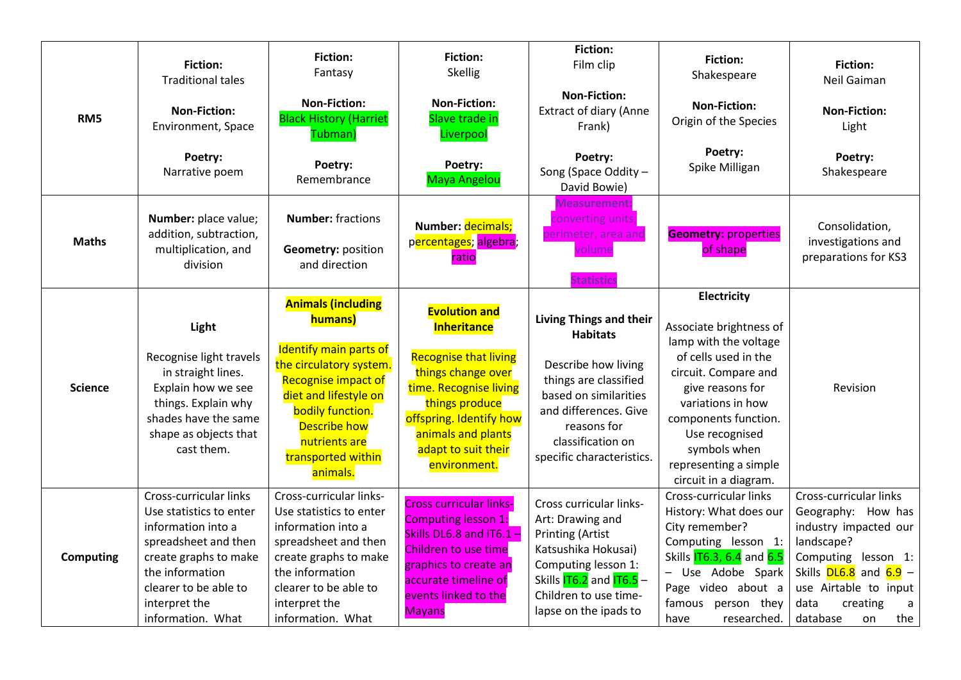|                  | <b>Fiction:</b><br><b>Traditional tales</b>                                                                                                                                                                | <b>Fiction:</b><br>Fantasy                                                                                                                                                                                                                     | <b>Fiction:</b><br>Skellig                                                                                                                                                                                                           | <b>Fiction:</b><br>Film clip                                                                                                                                                                                  | <b>Fiction:</b><br>Shakespeare                                                                                                                                                                                                                                       | <b>Fiction:</b><br>Neil Gaiman                                                                                                                                                                                         |
|------------------|------------------------------------------------------------------------------------------------------------------------------------------------------------------------------------------------------------|------------------------------------------------------------------------------------------------------------------------------------------------------------------------------------------------------------------------------------------------|--------------------------------------------------------------------------------------------------------------------------------------------------------------------------------------------------------------------------------------|---------------------------------------------------------------------------------------------------------------------------------------------------------------------------------------------------------------|----------------------------------------------------------------------------------------------------------------------------------------------------------------------------------------------------------------------------------------------------------------------|------------------------------------------------------------------------------------------------------------------------------------------------------------------------------------------------------------------------|
| RM <sub>5</sub>  | <b>Non-Fiction:</b><br>Environment, Space                                                                                                                                                                  | <b>Non-Fiction:</b><br><b>Black History (Harriet</b><br>Tubman)                                                                                                                                                                                | <b>Non-Fiction:</b><br>Slave trade in<br>Liverpool                                                                                                                                                                                   | <b>Non-Fiction:</b><br><b>Extract of diary (Anne</b><br>Frank)                                                                                                                                                | <b>Non-Fiction:</b><br>Origin of the Species                                                                                                                                                                                                                         | <b>Non-Fiction:</b><br>Light                                                                                                                                                                                           |
|                  | Poetry:<br>Narrative poem                                                                                                                                                                                  | Poetry:<br>Remembrance                                                                                                                                                                                                                         | Poetry:<br><b>Maya Angelou</b>                                                                                                                                                                                                       | Poetry:<br>Song (Space Oddity -<br>David Bowie)                                                                                                                                                               | Poetry:<br>Spike Milligan                                                                                                                                                                                                                                            | Poetry:<br>Shakespeare                                                                                                                                                                                                 |
| <b>Maths</b>     | Number: place value;<br>addition, subtraction,<br>multiplication, and<br>division                                                                                                                          | <b>Number:</b> fractions<br><b>Geometry: position</b><br>and direction                                                                                                                                                                         | Number: decimals;<br>percentages; algebra;<br>ratio                                                                                                                                                                                  | Vleasurement:<br>converting units;<br>perimeter, area and<br>volume<br><b>Statistics</b>                                                                                                                      | <b>Geometry: properties</b><br>of shape                                                                                                                                                                                                                              | Consolidation,<br>investigations and<br>preparations for KS3                                                                                                                                                           |
| <b>Science</b>   | Light<br>Recognise light travels<br>in straight lines.<br>Explain how we see<br>things. Explain why<br>shades have the same<br>shape as objects that<br>cast them.                                         | <b>Animals (including</b><br>humans)<br><b>Identify main parts of</b><br>the circulatory system.<br>Recognise impact of<br>diet and lifestyle on<br>bodily function.<br><b>Describe how</b><br>nutrients are<br>transported within<br>animals. | <b>Evolution and</b><br><b>Inheritance</b><br><b>Recognise that living</b><br>things change over<br>time. Recognise living<br>things produce<br>offspring. Identify how<br>animals and plants<br>adapt to suit their<br>environment. | Living Things and their<br><b>Habitats</b><br>Describe how living<br>things are classified<br>based on similarities<br>and differences. Give<br>reasons for<br>classification on<br>specific characteristics. | Electricity<br>Associate brightness of<br>lamp with the voltage<br>of cells used in the<br>circuit. Compare and<br>give reasons for<br>variations in how<br>components function.<br>Use recognised<br>symbols when<br>representing a simple<br>circuit in a diagram. | Revision                                                                                                                                                                                                               |
| <b>Computing</b> | Cross-curricular links<br>Use statistics to enter<br>information into a<br>spreadsheet and then<br>create graphs to make<br>the information<br>clearer to be able to<br>interpret the<br>information. What | Cross-curricular links-<br>Use statistics to enter<br>information into a<br>spreadsheet and then<br>create graphs to make<br>the information<br>clearer to be able to<br>interpret the<br>information. What                                    | <b>Cross curricular links-</b><br><b>Computing lesson 1:</b><br>Skills DL6.8 and IT6.1 -<br>Children to use time<br>graphics to create an<br>accurate timeline of<br>events linked to the<br><b>Mayans</b>                           | Cross curricular links-<br>Art: Drawing and<br><b>Printing (Artist</b><br>Katsushika Hokusai)<br>Computing lesson 1:<br>Skills $176.2$ and $176.5$ -<br>Children to use time-<br>lapse on the ipads to        | Cross-curricular links<br>History: What does our<br>City remember?<br>Computing lesson 1:<br>Skills <b>IT6.3, 6.4</b> and 6.5<br>Use Adobe Spark<br>Page video about a<br>famous person they<br>researched.<br>have                                                  | Cross-curricular links<br>Geography: How has<br>industry impacted our<br>landscape?<br>Computing<br>lesson 1:<br>Skills $DL6.8$ and $6.9 -$<br>use Airtable to input<br>data<br>creating<br>a<br>the<br>database<br>on |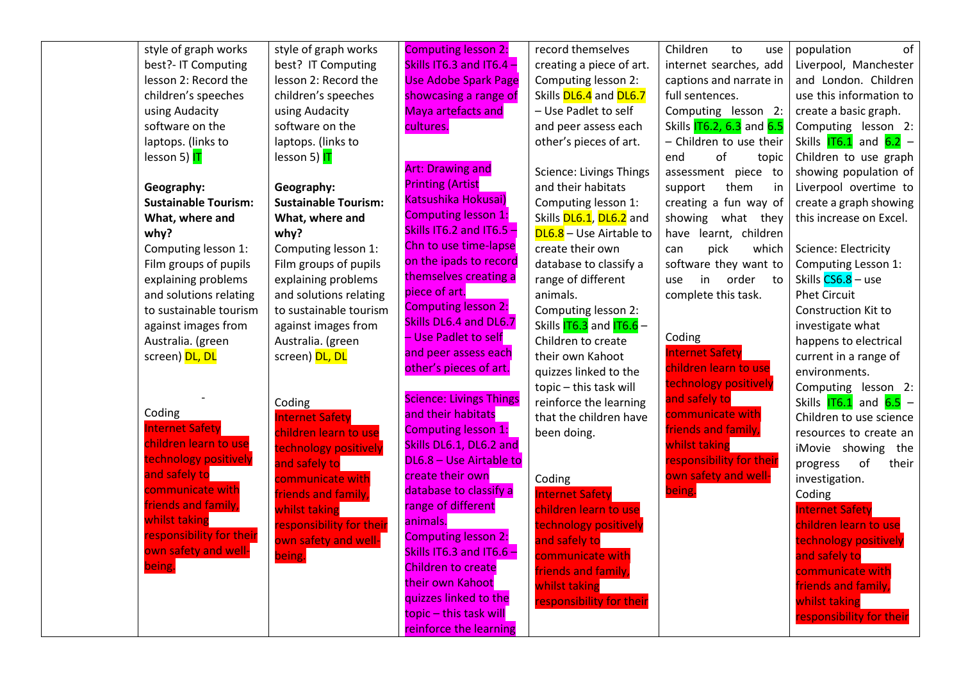| style of graph works        | style of graph works        | <b>Computing lesson 2:</b>                         | record themselves              | Children<br>to<br>use                | of<br>population                                 |
|-----------------------------|-----------------------------|----------------------------------------------------|--------------------------------|--------------------------------------|--------------------------------------------------|
| best?- IT Computing         | best? IT Computing          | Skills IT6.3 and IT6.4 -                           | creating a piece of art.       | internet searches, add               | Liverpool, Manchester                            |
| lesson 2: Record the        | lesson 2: Record the        | <b>Use Adobe Spark Page</b>                        | Computing lesson 2:            | captions and narrate in              | and London. Children                             |
| children's speeches         | children's speeches         | showcasing a range of                              | Skills DL6.4 and DL6.7         | full sentences.                      | use this information to                          |
| using Audacity              | using Audacity              | <b>Maya artefacts and</b>                          | - Use Padlet to self           | Computing lesson 2:                  | create a basic graph.                            |
| software on the             | software on the             | cultures.                                          | and peer assess each           | Skills <b>IT6.2, 6.3</b> and 6.5     | Computing lesson 2:                              |
| laptops. (links to          | laptops. (links to          |                                                    | other's pieces of art.         | - Children to use their              | Skills $\overline{176.1}$ and $\overline{6.2}$ - |
| lesson 5) IT                | lesson 5) IT                |                                                    |                                | end<br>of<br>topic                   | Children to use graph                            |
|                             |                             | <b>Art: Drawing and</b>                            | <b>Science: Livings Things</b> | assessment piece to                  | showing population of                            |
| Geography:                  | Geography:                  | <b>Printing (Artist</b>                            | and their habitats             | support<br>them<br>in                | Liverpool overtime to                            |
| <b>Sustainable Tourism:</b> | <b>Sustainable Tourism:</b> | Katsushika Hokusai)                                | Computing lesson 1:            | creating a fun way of                | create a graph showing                           |
| What, where and             | What, where and             | <b>Computing lesson 1:</b>                         | Skills DL6.1, DL6.2 and        | showing what they                    | this increase on Excel.                          |
| why?                        | why?                        | Skills IT6.2 and IT6.5 -                           | DL6.8 - Use Airtable to        | have learnt, children                |                                                  |
| Computing lesson 1:         | Computing lesson 1:         | Chn to use time-lapse                              | create their own               | pick<br>which<br>can                 | Science: Electricity                             |
| Film groups of pupils       | Film groups of pupils       | on the ipads to record                             | database to classify a         | software they want to                | Computing Lesson 1:                              |
| explaining problems         | explaining problems         | themselves creating a                              | range of different             | order<br>in<br>use<br>to             | Skills CS6.8 - use                               |
| and solutions relating      | and solutions relating      | piece of art.                                      | animals.                       | complete this task.                  | <b>Phet Circuit</b>                              |
| to sustainable tourism      | to sustainable tourism      | <b>Computing lesson 2:</b>                         | Computing lesson 2:            |                                      | <b>Construction Kit to</b>                       |
| against images from         | against images from         | Skills DL6.4 and DL6.7                             | Skills $176.3$ and $176.6$ -   |                                      | investigate what                                 |
| Australia. (green           | Australia. (green           | - Use Padlet to self                               | Children to create             | Coding                               | happens to electrical                            |
| screen) DL, DL              | screen) DL, DL              | and peer assess each                               | their own Kahoot               | <b>Internet Safety</b>               | current in a range of                            |
|                             |                             | other's pieces of art.                             | quizzes linked to the          | children learn to use                | environments.                                    |
|                             |                             |                                                    | topic - this task will         | technology positively                | Computing lesson 2:                              |
| Coding                      | Coding                      | <b>Science: Livings Things</b>                     | reinforce the learning         | and safely to                        | Skills $IT6.1$ and $6.5 -$                       |
| <b>Internet Safety</b>      | <b>Internet Safety</b>      | and their habitats                                 | that the children have         | communicate with                     | Children to use science                          |
| children learn to use       | children learn to use       | <b>Computing lesson 1:</b>                         | been doing.                    | friends and family,<br>whilst taking | resources to create an                           |
| technology positively       | technology positively       | Skills DL6.1, DL6.2 and<br>DL6.8 - Use Airtable to |                                | responsibility for their             | iMovie showing the                               |
| and safely to               | and safely to               | create their own                                   |                                | own safety and well-                 | of<br>their<br>progress                          |
| communicate with            | communicate with            | database to classify a                             | Coding                         | being.                               | investigation.                                   |
| friends and family,         | friends and family,         | range of different                                 | <b>Internet Safety</b>         |                                      | Coding                                           |
| whilst taking               | whilst taking               | animals.                                           | children learn to use          |                                      | <b>Internet Safety</b>                           |
| responsibility for their    | responsibility for their    | <b>Computing lesson 2:</b>                         | technology positively          |                                      | children learn to use                            |
| own safety and well-        | own safety and well-        | Skills IT6.3 and IT6.6 -                           | and safely to                  |                                      | technology positively                            |
| being.                      | being.                      | <b>Children to create</b>                          | communicate with               |                                      | and safely to                                    |
|                             |                             | their own Kahoot                                   | friends and family,            |                                      | communicate with                                 |
|                             |                             | quizzes linked to the                              | whilst taking                  |                                      | friends and family,                              |
|                             |                             | topic – this task will                             | responsibility for their       |                                      | whilst taking                                    |
|                             |                             | reinforce the learning                             |                                |                                      | responsibility for their                         |
|                             |                             |                                                    |                                |                                      |                                                  |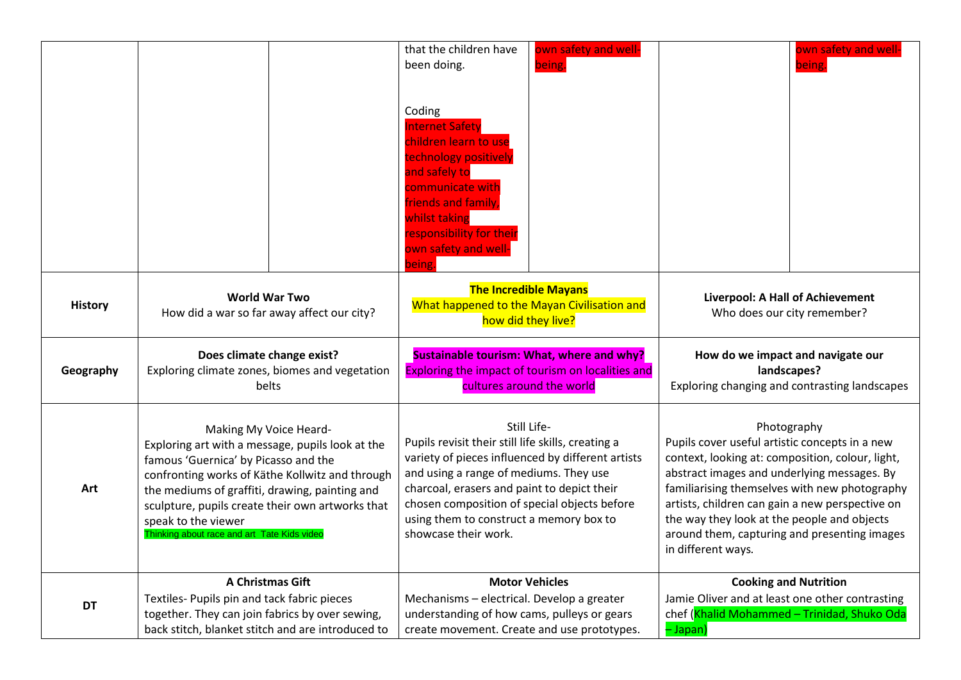|                |                                                                                                    | that the children have<br>own safety and well-<br>been doing.<br>being.                                 | own safety and well-<br>being.                                                                     |  |
|----------------|----------------------------------------------------------------------------------------------------|---------------------------------------------------------------------------------------------------------|----------------------------------------------------------------------------------------------------|--|
|                |                                                                                                    |                                                                                                         |                                                                                                    |  |
|                |                                                                                                    | Coding                                                                                                  |                                                                                                    |  |
|                |                                                                                                    | <b>Internet Safety</b><br>children learn to use                                                         |                                                                                                    |  |
|                |                                                                                                    | technology positively                                                                                   |                                                                                                    |  |
|                |                                                                                                    | and safely to<br>communicate with                                                                       |                                                                                                    |  |
|                |                                                                                                    | friends and family,                                                                                     |                                                                                                    |  |
|                |                                                                                                    | whilst taking<br>responsibility for their                                                               |                                                                                                    |  |
|                |                                                                                                    | own safety and well-<br>being.                                                                          |                                                                                                    |  |
|                |                                                                                                    | <b>The Incredible Mayans</b>                                                                            |                                                                                                    |  |
| <b>History</b> | <b>World War Two</b><br>How did a war so far away affect our city?                                 | What happened to the Mayan Civilisation and                                                             | Liverpool: A Hall of Achievement<br>Who does our city remember?                                    |  |
|                |                                                                                                    | how did they live?                                                                                      |                                                                                                    |  |
|                |                                                                                                    |                                                                                                         |                                                                                                    |  |
|                | Does climate change exist?                                                                         | Sustainable tourism: What, where and why?                                                               | How do we impact and navigate our                                                                  |  |
| Geography      | Exploring climate zones, biomes and vegetation<br>belts                                            | Exploring the impact of tourism on localities and<br>cultures around the world                          | landscapes?<br>Exploring changing and contrasting landscapes                                       |  |
|                |                                                                                                    |                                                                                                         |                                                                                                    |  |
|                | Making My Voice Heard-                                                                             | Still Life-                                                                                             | Photography                                                                                        |  |
|                | Exploring art with a message, pupils look at the<br>famous 'Guernica' by Picasso and the           | Pupils revisit their still life skills, creating a<br>variety of pieces influenced by different artists | Pupils cover useful artistic concepts in a new<br>context, looking at: composition, colour, light, |  |
| Art            | confronting works of Käthe Kollwitz and through                                                    | and using a range of mediums. They use                                                                  | abstract images and underlying messages. By                                                        |  |
|                | the mediums of graffiti, drawing, painting and<br>sculpture, pupils create their own artworks that | charcoal, erasers and paint to depict their<br>chosen composition of special objects before             | familiarising themselves with new photography<br>artists, children can gain a new perspective on   |  |
|                | speak to the viewer<br>Thinking about race and art Tate Kids video                                 | using them to construct a memory box to<br>showcase their work.                                         | the way they look at the people and objects<br>around them, capturing and presenting images        |  |
|                |                                                                                                    |                                                                                                         | in different ways.                                                                                 |  |
|                | A Christmas Gift                                                                                   | <b>Motor Vehicles</b>                                                                                   | <b>Cooking and Nutrition</b>                                                                       |  |
| <b>DT</b>      | Textiles- Pupils pin and tack fabric pieces<br>together. They can join fabrics by over sewing,     | Mechanisms - electrical. Develop a greater<br>understanding of how cams, pulleys or gears               | Jamie Oliver and at least one other contrasting<br>chef (Khalid Mohammed - Trinidad, Shuko Oda     |  |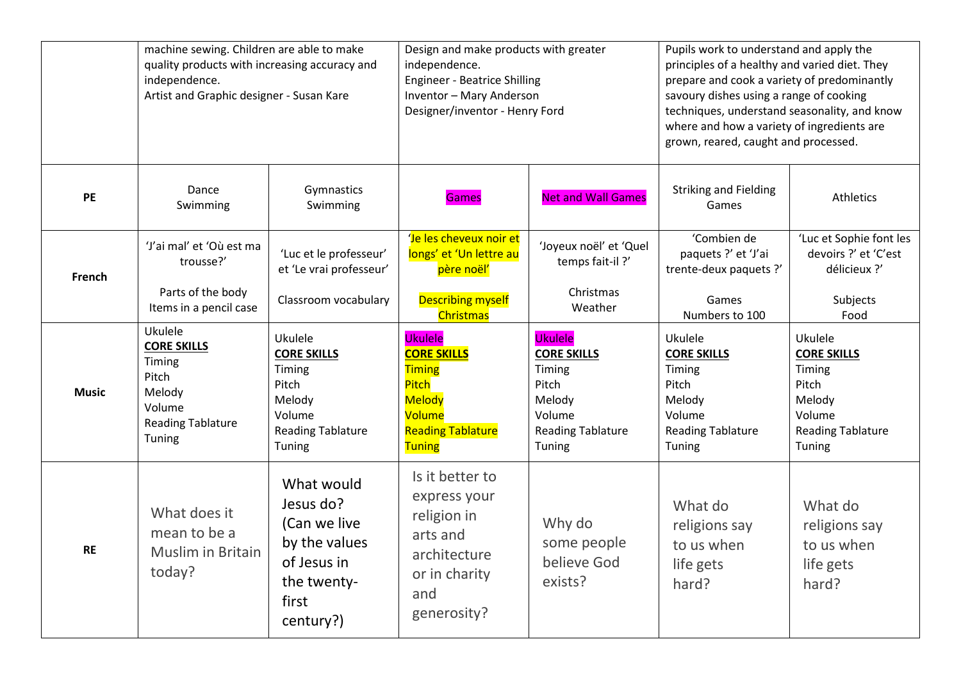|              | machine sewing. Children are able to make<br>quality products with increasing accuracy and<br>independence.<br>Artist and Graphic designer - Susan Kare |                                                                                                              | Design and make products with greater<br>independence.<br><b>Engineer - Beatrice Shilling</b><br>Inventor - Mary Anderson<br>Designer/inventor - Henry Ford |                                                                                                                   | Pupils work to understand and apply the<br>principles of a healthy and varied diet. They<br>prepare and cook a variety of predominantly<br>savoury dishes using a range of cooking<br>techniques, understand seasonality, and know<br>where and how a variety of ingredients are<br>grown, reared, caught and processed. |                                                                                                            |
|--------------|---------------------------------------------------------------------------------------------------------------------------------------------------------|--------------------------------------------------------------------------------------------------------------|-------------------------------------------------------------------------------------------------------------------------------------------------------------|-------------------------------------------------------------------------------------------------------------------|--------------------------------------------------------------------------------------------------------------------------------------------------------------------------------------------------------------------------------------------------------------------------------------------------------------------------|------------------------------------------------------------------------------------------------------------|
| <b>PE</b>    | Dance<br>Swimming                                                                                                                                       | Gymnastics<br>Swimming                                                                                       | <b>Games</b>                                                                                                                                                | <b>Net and Wall Games</b>                                                                                         | <b>Striking and Fielding</b><br>Games                                                                                                                                                                                                                                                                                    | Athletics                                                                                                  |
| French       | 'J'ai mal' et 'Où est ma<br>trousse?'<br>Parts of the body                                                                                              | 'Luc et le professeur'<br>et 'Le vrai professeur'<br>Classroom vocabulary                                    | 'Je les cheveux noir et<br>longs' et 'Un lettre au<br>père noël'<br><b>Describing myself</b>                                                                | 'Joyeux noël' et 'Quel<br>temps fait-il?'<br>Christmas                                                            | 'Combien de<br>paquets ?' et 'J'ai<br>trente-deux paquets ?'<br>Games                                                                                                                                                                                                                                                    | 'Luc et Sophie font les<br>devoirs ?' et 'C'est<br>délicieux ?'<br>Subjects                                |
|              | Items in a pencil case<br>Ukulele                                                                                                                       |                                                                                                              | <b>Christmas</b>                                                                                                                                            | Weather                                                                                                           | Numbers to 100                                                                                                                                                                                                                                                                                                           | Food                                                                                                       |
| <b>Music</b> | <b>CORE SKILLS</b><br>Timing<br>Pitch<br>Melody<br>Volume<br><b>Reading Tablature</b><br>Tuning                                                         | Ukulele<br><b>CORE SKILLS</b><br>Timing<br>Pitch<br>Melody<br>Volume<br><b>Reading Tablature</b><br>Tuning   | <b>Ukulele</b><br><b>CORE SKILLS</b><br><b>Timing</b><br>Pitch<br><b>Melody</b><br>Volume<br><b>Reading Tablature</b><br><b>Tuning</b>                      | <b>Ukulele</b><br><b>CORE SKILLS</b><br>Timing<br>Pitch<br>Melody<br>Volume<br><b>Reading Tablature</b><br>Tuning | Ukulele<br><b>CORE SKILLS</b><br>Timing<br>Pitch<br>Melody<br>Volume<br><b>Reading Tablature</b><br>Tuning                                                                                                                                                                                                               | Ukulele<br><b>CORE SKILLS</b><br>Timing<br>Pitch<br>Melody<br>Volume<br><b>Reading Tablature</b><br>Tuning |
| <b>RE</b>    | What does it<br>mean to be a<br>Muslim in Britain<br>today?                                                                                             | What would<br>Jesus do?<br>(Can we live<br>by the values<br>of Jesus in<br>the twenty-<br>first<br>century?) | Is it better to<br>express your<br>religion in<br>arts and<br>architecture<br>or in charity<br>and<br>generosity?                                           | Why do<br>some people<br>believe God<br>exists?                                                                   | What do<br>religions say<br>to us when<br>life gets<br>hard?                                                                                                                                                                                                                                                             | What do<br>religions say<br>to us when<br>life gets<br>hard?                                               |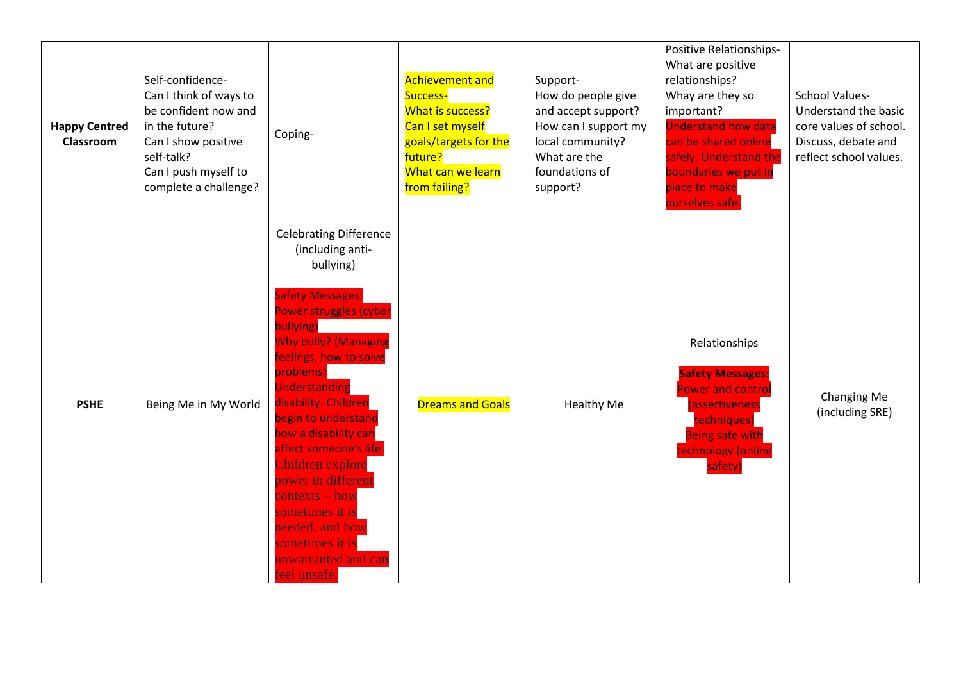| <b>Happy Centred</b><br>Classroom | Self-confidence-<br>Can I think of ways to<br>be confident now and<br>in the future?<br>Can I show positive<br>self-talk?<br>Can I push myself to<br>complete a challenge? | Coping-                                                                                                                                                                                                                                                                                                                                                                                                                                                                             | <b>Achievement and</b><br>Success-<br>What is success?<br>Can I set myself<br>goals/targets for the<br>future?<br>What can we learn<br>from failing? | Support-<br>How do people give<br>and accept support?<br>How can I support my<br>local community?<br>What are the<br>foundations of<br>support? | Positive Relationships-<br>What are positive<br>relationships?<br>Whay are they so<br>important?<br><b>Understand how data</b><br>can be shared online<br>safely. Understand the<br>boundaries we put in<br>place to make<br>ourselves safe. | <b>School Values-</b><br>Understand the basic<br>core values of school.<br>Discuss, debate and<br>reflect school values. |
|-----------------------------------|----------------------------------------------------------------------------------------------------------------------------------------------------------------------------|-------------------------------------------------------------------------------------------------------------------------------------------------------------------------------------------------------------------------------------------------------------------------------------------------------------------------------------------------------------------------------------------------------------------------------------------------------------------------------------|------------------------------------------------------------------------------------------------------------------------------------------------------|-------------------------------------------------------------------------------------------------------------------------------------------------|----------------------------------------------------------------------------------------------------------------------------------------------------------------------------------------------------------------------------------------------|--------------------------------------------------------------------------------------------------------------------------|
| <b>PSHE</b>                       | Being Me in My World                                                                                                                                                       | <b>Celebrating Difference</b><br>(including anti-<br>bullying)<br><b>Safety Messages:</b><br>Power struggles (cyber<br>bullying)<br><b>Why bully? (Managing</b><br>feelings, how to solve<br>problems)<br>Understanding<br>disability. Children<br>begin to understand<br>how a disability can<br>affect someone's life.<br>Children explore<br>power in different<br>contexts – how<br>sometimes it is<br>needed, and how<br>sometimes it is<br>unwarranted and can<br>eel unsafe. | <b>Dreams and Goals</b>                                                                                                                              | <b>Healthy Me</b>                                                                                                                               | Relationships<br><b>Safety Messages:</b><br>Power and control<br>assertiveness<br>techniques)<br><b>Being safe with</b><br>technology (online<br>safety)                                                                                     | Changing Me<br>(including SRE)                                                                                           |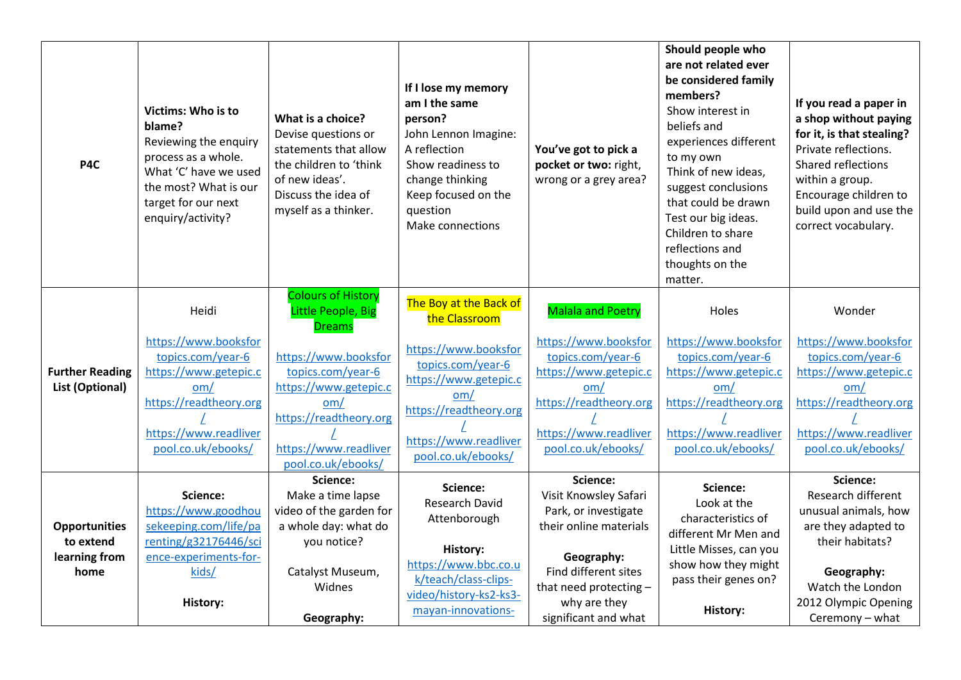| P4C                                                        | Victims: Who is to<br>blame?<br>Reviewing the enquiry<br>process as a whole.<br>What 'C' have we used<br>the most? What is our<br>target for our next<br>enquiry/activity? | What is a choice?<br>Devise questions or<br>statements that allow<br>the children to 'think<br>of new ideas'.<br>Discuss the idea of<br>myself as a thinker. | If I lose my memory<br>am I the same<br>person?<br>John Lennon Imagine:<br>A reflection<br>Show readiness to<br>change thinking<br>Keep focused on the<br>question<br>Make connections | You've got to pick a<br>pocket or two: right,<br>wrong or a grey area?                                                                                                                      | Should people who<br>are not related ever<br>be considered family<br>members?<br>Show interest in<br>beliefs and<br>experiences different<br>to my own<br>Think of new ideas,<br>suggest conclusions<br>that could be drawn<br>Test our big ideas.<br>Children to share<br>reflections and<br>thoughts on the<br>matter. | If you read a paper in<br>a shop without paying<br>for it, is that stealing?<br>Private reflections.<br>Shared reflections<br>within a group.<br>Encourage children to<br>build upon and use the<br>correct vocabulary. |
|------------------------------------------------------------|----------------------------------------------------------------------------------------------------------------------------------------------------------------------------|--------------------------------------------------------------------------------------------------------------------------------------------------------------|----------------------------------------------------------------------------------------------------------------------------------------------------------------------------------------|---------------------------------------------------------------------------------------------------------------------------------------------------------------------------------------------|--------------------------------------------------------------------------------------------------------------------------------------------------------------------------------------------------------------------------------------------------------------------------------------------------------------------------|-------------------------------------------------------------------------------------------------------------------------------------------------------------------------------------------------------------------------|
|                                                            | Heidi                                                                                                                                                                      | <b>Colours of History</b><br>Little People, Big<br><b>Dreams</b>                                                                                             | The Boy at the Back of<br>the Classroom                                                                                                                                                | <b>Malala and Poetry</b>                                                                                                                                                                    | Holes                                                                                                                                                                                                                                                                                                                    | Wonder                                                                                                                                                                                                                  |
| <b>Further Reading</b><br>List (Optional)                  | https://www.booksfor<br>topics.com/year-6<br>https://www.getepic.c<br>om/<br>https://readtheory.org<br>https://www.readliver<br>pool.co.uk/ebooks/                         | https://www.booksfor<br>topics.com/year-6<br>https://www.getepic.c<br>om/<br>https://readtheory.org<br>https://www.readliver<br>pool.co.uk/ebooks/           | https://www.booksfor<br>topics.com/year-6<br>https://www.getepic.c<br>om/<br>https://readtheory.org<br>https://www.readliver<br>pool.co.uk/ebooks/                                     | https://www.booksfor<br>topics.com/year-6<br>https://www.getepic.c<br>om/<br>https://readtheory.org<br>https://www.readliver<br>pool.co.uk/ebooks/                                          | https://www.booksfor<br>topics.com/year-6<br>https://www.getepic.c<br>om/<br>https://readtheory.org<br>https://www.readliver<br>pool.co.uk/ebooks/                                                                                                                                                                       | https://www.booksfor<br>topics.com/year-6<br>https://www.getepic.c<br>om/<br>https://readtheory.org<br>https://www.readliver<br>pool.co.uk/ebooks/                                                                      |
| <b>Opportunities</b><br>to extend<br>learning from<br>home | Science:<br>https://www.goodhou<br>sekeeping.com/life/pa<br>renting/g32176446/sci<br>ence-experiments-for-<br>kids/<br>History:                                            | Science:<br>Make a time lapse<br>video of the garden for<br>a whole day: what do<br>you notice?<br>Catalyst Museum,<br><b>Widnes</b><br>Geography:           | Science:<br><b>Research David</b><br>Attenborough<br>History:<br>https://www.bbc.co.u<br>k/teach/class-clips-<br>video/history-ks2-ks3-<br>mayan-innovations-                          | Science:<br>Visit Knowsley Safari<br>Park, or investigate<br>their online materials<br>Geography:<br>Find different sites<br>that need protecting -<br>why are they<br>significant and what | Science:<br>Look at the<br>characteristics of<br>different Mr Men and<br>Little Misses, can you<br>show how they might<br>pass their genes on?<br><b>History:</b>                                                                                                                                                        | Science:<br>Research different<br>unusual animals, how<br>are they adapted to<br>their habitats?<br>Geography:<br>Watch the London<br>2012 Olympic Opening<br>Ceremony - what                                           |